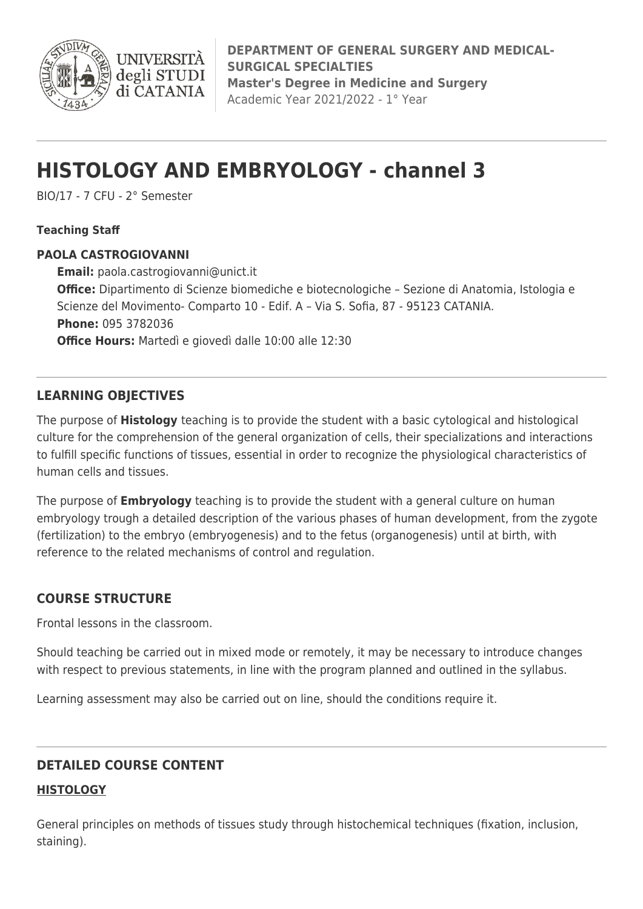

# **HISTOLOGY AND EMBRYOLOGY - channel 3**

BIO/17 - 7 CFU - 2° Semester

**INIVERS** degli STUDI di CATANIA

#### **Teaching Staff**

#### **PAOLA CASTROGIOVANNI**

**Email:** [paola.castrogiovanni@unict.it](mailto:paola.castrogiovanni@unict.it) **Office:** Dipartimento di Scienze biomediche e biotecnologiche – Sezione di Anatomia, Istologia e Scienze del Movimento- Comparto 10 - Edif. A – Via S. Sofia, 87 - 95123 CATANIA. **Phone:** 095 3782036 **Office Hours:** Martedì e giovedì dalle 10:00 alle 12:30

# **LEARNING OBJECTIVES**

The purpose of **Histology** teaching is to provide the student with a basic cytological and histological culture for the comprehension of the general organization of cells, their specializations and interactions to fulfill specific functions of tissues, essential in order to recognize the physiological characteristics of human cells and tissues.

The purpose of **Embryology** teaching is to provide the student with a general culture on human embryology trough a detailed description of the various phases of human development, from the zygote (fertilization) to the embryo (embryogenesis) and to the fetus (organogenesis) until at birth, with reference to the related mechanisms of control and regulation.

## **COURSE STRUCTURE**

Frontal lessons in the classroom.

Should teaching be carried out in mixed mode or remotely, it may be necessary to introduce changes with respect to previous statements, in line with the program planned and outlined in the syllabus.

Learning assessment may also be carried out on line, should the conditions require it.

## **DETAILED COURSE CONTENT**

## **HISTOLOGY**

General principles on methods of tissues study through histochemical techniques (fixation, inclusion, staining).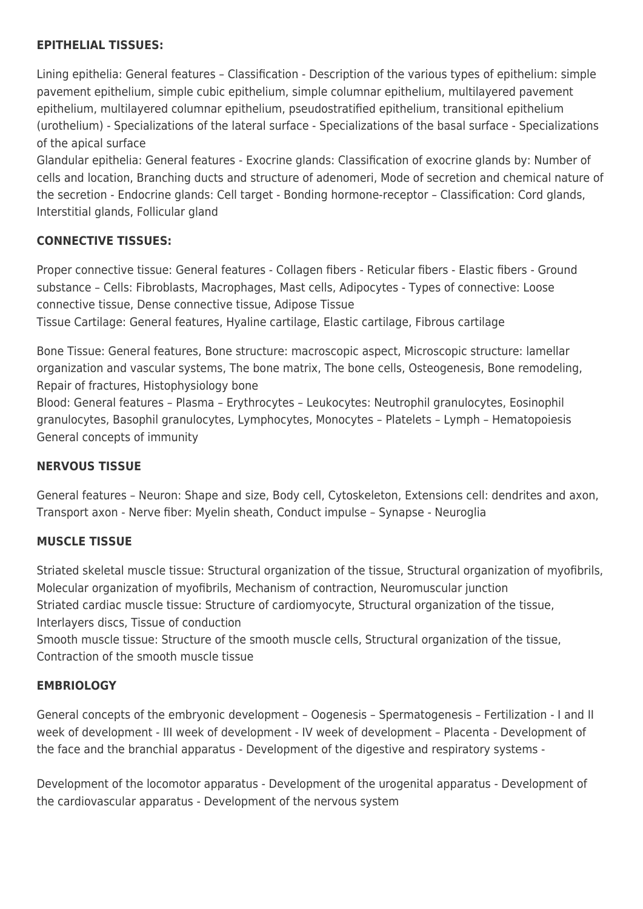#### **EPITHELIAL TISSUES:**

Lining epithelia: General features – Classification - Description of the various types of epithelium: simple pavement epithelium, simple cubic epithelium, simple columnar epithelium, multilayered pavement epithelium, multilayered columnar epithelium, pseudostratified epithelium, transitional epithelium (urothelium) - Specializations of the lateral surface - Specializations of the basal surface - Specializations of the apical surface

Glandular epithelia: General features - Exocrine glands: Classification of exocrine glands by: Number of cells and location, Branching ducts and structure of adenomeri, Mode of secretion and chemical nature of the secretion - Endocrine glands: Cell target - Bonding hormone-receptor – Classification: Cord glands, Interstitial glands, Follicular gland

#### **CONNECTIVE TISSUES:**

Proper connective tissue: General features - Collagen fibers - Reticular fibers - Elastic fibers - Ground substance – Cells: Fibroblasts, Macrophages, Mast cells, Adipocytes - Types of connective: Loose connective tissue, Dense connective tissue, Adipose Tissue Tissue Cartilage: General features, Hyaline cartilage, Elastic cartilage, Fibrous cartilage

Bone Tissue: General features, Bone structure: macroscopic aspect, Microscopic structure: lamellar organization and vascular systems, The bone matrix, The bone cells, Osteogenesis, Bone remodeling, Repair of fractures, Histophysiology bone

Blood: General features – Plasma – Erythrocytes – Leukocytes: Neutrophil granulocytes, Eosinophil granulocytes, Basophil granulocytes, Lymphocytes, Monocytes – Platelets – Lymph – Hematopoiesis General concepts of immunity

## **NERVOUS TISSUE**

General features – Neuron: Shape and size, Body cell, Cytoskeleton, Extensions cell: dendrites and axon, Transport axon - Nerve fiber: Myelin sheath, Conduct impulse – Synapse - Neuroglia

## **MUSCLE TISSUE**

Striated skeletal muscle tissue: Structural organization of the tissue, Structural organization of myofibrils, Molecular organization of myofibrils, Mechanism of contraction, Neuromuscular junction Striated cardiac muscle tissue: Structure of cardiomyocyte, Structural organization of the tissue, Interlayers discs, Tissue of conduction

Smooth muscle tissue: Structure of the smooth muscle cells, Structural organization of the tissue, Contraction of the smooth muscle tissue

#### **EMBRIOLOGY**

General concepts of the embryonic development – Oogenesis – Spermatogenesis – Fertilization - I and II week of development - III week of development - IV week of development – Placenta - Development of the face and the branchial apparatus - Development of the digestive and respiratory systems -

Development of the locomotor apparatus - Development of the urogenital apparatus - Development of the cardiovascular apparatus - Development of the nervous system